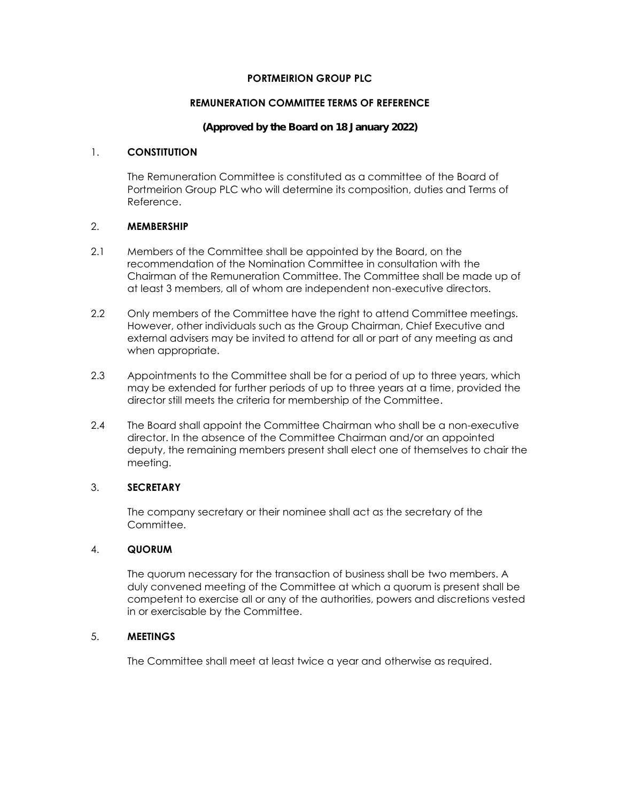# **PORTMEIRION GROUP PLC**

# **REMUNERATION COMMITTEE TERMS OF REFERENCE**

# **(Approved by the Board on 18 January 2022)**

# 1. **CONSTITUTION**

The Remuneration Committee is constituted as a committee of the Board of Portmeirion Group PLC who will determine its composition, duties and Terms of Reference.

# 2. **MEMBERSHIP**

- 2.1 Members of the Committee shall be appointed by the Board, on the recommendation of the Nomination Committee in consultation with the Chairman of the Remuneration Committee. The Committee shall be made up of at least 3 members, all of whom are independent non-executive directors.
- 2.2 Only members of the Committee have the right to attend Committee meetings. However, other individuals such as the Group Chairman, Chief Executive and external advisers may be invited to attend for all or part of any meeting as and when appropriate.
- 2.3 Appointments to the Committee shall be for a period of up to three years, which may be extended for further periods of up to three years at a time, provided the director still meets the criteria for membership of the Committee.
- 2.4 The Board shall appoint the Committee Chairman who shall be a non-executive director. In the absence of the Committee Chairman and/or an appointed deputy, the remaining members present shall elect one of themselves to chair the meeting.

# 3. **SECRETARY**

The company secretary or their nominee shall act as the secretary of the Committee.

# 4. **QUORUM**

The quorum necessary for the transaction of business shall be two members. A duly convened meeting of the Committee at which a quorum is present shall be competent to exercise all or any of the authorities, powers and discretions vested in or exercisable by the Committee.

### 5. **MEETINGS**

The Committee shall meet at least twice a year and otherwise as required.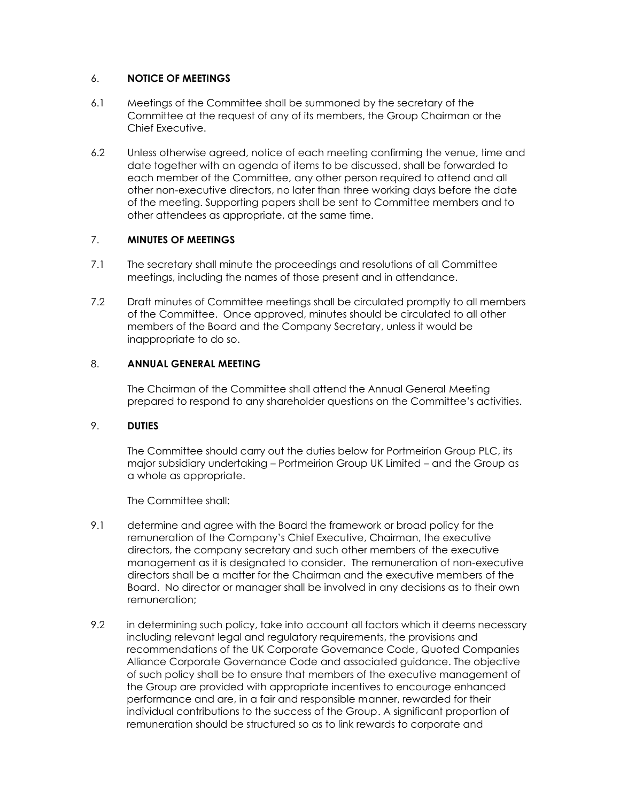# 6. **NOTICE OF MEETINGS**

- 6.1 Meetings of the Committee shall be summoned by the secretary of the Committee at the request of any of its members, the Group Chairman or the Chief Executive.
- 6.2 Unless otherwise agreed, notice of each meeting confirming the venue, time and date together with an agenda of items to be discussed, shall be forwarded to each member of the Committee, any other person required to attend and all other non-executive directors, no later than three working days before the date of the meeting. Supporting papers shall be sent to Committee members and to other attendees as appropriate, at the same time.

# 7. **MINUTES OF MEETINGS**

- 7.1 The secretary shall minute the proceedings and resolutions of all Committee meetings, including the names of those present and in attendance.
- 7.2 Draft minutes of Committee meetings shall be circulated promptly to all members of the Committee. Once approved, minutes should be circulated to all other members of the Board and the Company Secretary, unless it would be inappropriate to do so.

# 8. **ANNUAL GENERAL MEETING**

The Chairman of the Committee shall attend the Annual General Meeting prepared to respond to any shareholder questions on the Committee's activities.

### 9. **DUTIES**

The Committee should carry out the duties below for Portmeirion Group PLC, its major subsidiary undertaking – Portmeirion Group UK Limited – and the Group as a whole as appropriate.

The Committee shall:

- 9.1 determine and agree with the Board the framework or broad policy for the remuneration of the Company's Chief Executive, Chairman, the executive directors, the company secretary and such other members of the executive management as it is designated to consider. The remuneration of non-executive directors shall be a matter for the Chairman and the executive members of the Board. No director or manager shall be involved in any decisions as to their own remuneration;
- 9.2 in determining such policy, take into account all factors which it deems necessary including relevant legal and regulatory requirements, the provisions and recommendations of the UK Corporate Governance Code, Quoted Companies Alliance Corporate Governance Code and associated guidance. The objective of such policy shall be to ensure that members of the executive management of the Group are provided with appropriate incentives to encourage enhanced performance and are, in a fair and responsible manner, rewarded for their individual contributions to the success of the Group. A significant proportion of remuneration should be structured so as to link rewards to corporate and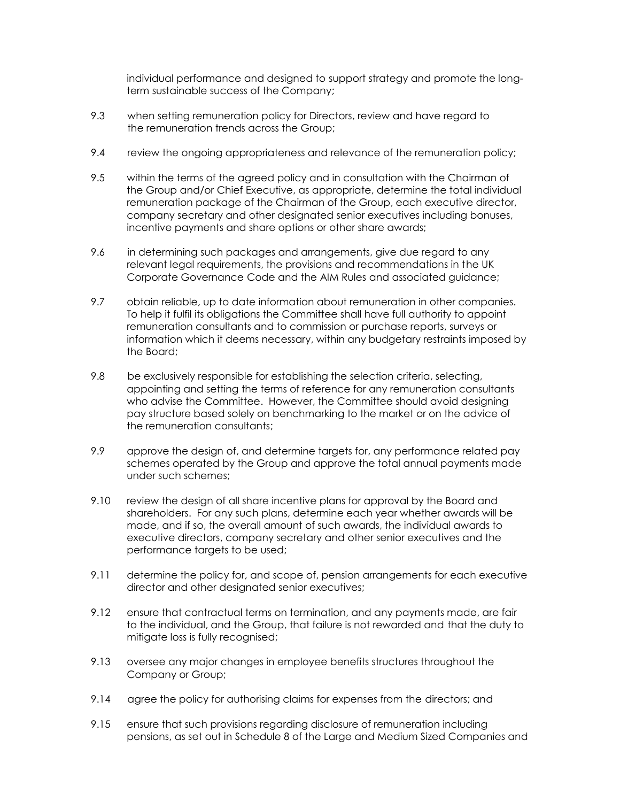individual performance and designed to support strategy and promote the long term sustainable success of the Company;

- 9.3 when setting remuneration policy for Directors, review and have regard to the remuneration trends across the Group;
- 9.4 review the ongoing appropriateness and relevance of the remuneration policy;
- 9.5 within the terms of the agreed policy and in consultation with the Chairman of the Group and/or Chief Executive, as appropriate, determine the total individual remuneration package of the Chairman of the Group, each executive director, company secretary and other designated senior executives including bonuses, incentive payments and share options or other share awards;
- 9.6 in determining such packages and arrangements, give due regard to any relevant legal requirements, the provisions and recommendations in the UK Corporate Governance Code and the AIM Rules and associated guidance;
- 9.7 obtain reliable, up to date information about remuneration in other companies. To help it fulfil its obligations the Committee shall have full authority to appoint remuneration consultants and to commission or purchase reports, surveys or information which it deems necessary, within any budgetary restraints imposed by the Board;
- 9.8 be exclusively responsible for establishing the selection criteria, selecting, appointing and setting the terms of reference for any remuneration consultants who advise the Committee. However, the Committee should avoid designing pay structure based solely on benchmarking to the market or on the advice of the remuneration consultants;
- 9.9 approve the design of, and determine targets for, any performance related pay schemes operated by the Group and approve the total annual payments made under such schemes;
- 9.10 review the design of all share incentive plans for approval by the Board and shareholders. For any such plans, determine each year whether awards will be made, and if so, the overall amount of such awards, the individual awards to executive directors, company secretary and other senior executives and the performance targets to be used;
- 9.11 determine the policy for, and scope of, pension arrangements for each executive director and other designated senior executives;
- 9.12 ensure that contractual terms on termination, and any payments made, are fair to the individual, and the Group, that failure is not rewarded and that the duty to mitigate loss is fully recognised;
- 9.13 oversee any major changes in employee benefits structures throughout the Company or Group;
- 9.14 agree the policy for authorising claims for expenses from the directors; and
- 9.15 ensure that such provisions regarding disclosure of remuneration including pensions, as set out in Schedule 8 of the Large and Medium Sized Companies and